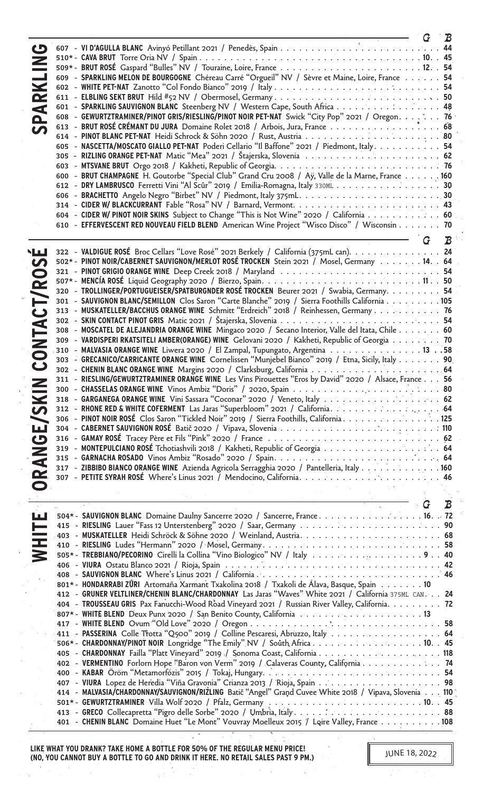|                          |                                                                                                         | G | $\bm{B}$      |
|--------------------------|---------------------------------------------------------------------------------------------------------|---|---------------|
| $\mathbf G$              |                                                                                                         |   |               |
|                          |                                                                                                         |   |               |
|                          |                                                                                                         |   |               |
| پ                        | 609 - SPARKLING MELON DE BOURGOGNE Chéreau Carré "Orgueil" NV / Sèvre et Maine, Loire, France 54        |   |               |
| $\blacktriangleright$    |                                                                                                         |   |               |
| $\mathbf{\alpha}$        |                                                                                                         |   |               |
| $\blacktriangleleft$     | 601 - SPARKLING SAUVIGNON BLANC Steenberg NV / Western Cape, South Africa 48                            |   |               |
| $\mathbf{\Omega}$        | 608 - GEWURTZTRAMINER/PINOT GRIS/RIESLING/PINOT NOIR PET-NAT Swick "City Pop" 2021 / Oregon. 76         |   |               |
|                          | 613 - BRUT ROSÉ CRÉMANT DU JURA Domaine Rolet 2018 / Arbois, Jura, France 68                            |   |               |
|                          |                                                                                                         |   |               |
|                          | 605 - NASCETTA/MOSCATO GIALLO PET-NAT Poderi Cellario "Il Baffone" 2021 / Piedmont, Italy. 54           |   |               |
|                          |                                                                                                         |   |               |
|                          |                                                                                                         |   |               |
|                          | 600 - BRUT CHAMPAGNE H. Goutorbe "Special Club" Grand Cru 2008 / Aÿ, Valle de la Marne, France 160      |   |               |
|                          | 612 - DRY LAMBRUSCO Ferretti Vini "Al Scûr" 2019 / Emilia-Romagna, Italy 330ML 30                       |   |               |
|                          |                                                                                                         |   |               |
|                          |                                                                                                         |   |               |
|                          |                                                                                                         |   |               |
|                          | 604 - CIDER W/ PINOT NOIR SKINS Subject to Change "This is Not Wine" 2020 / California 60               |   |               |
|                          | 610 - EFFERVESCENT RED NOUVEAU FIELD BLEND American Wine Project "Wisco Disco" / Wisconsin 70           |   |               |
|                          |                                                                                                         |   | $\mathcal{B}$ |
| العابا                   | 322 - VALDIGUE ROSÉ Broc Cellars "Love Rosé" 2021 Berkely / California (375mL can). 24                  |   |               |
|                          | 502* - PINOT NOIR/CABERNET SAUVIGNON/MERLOT ROSÉ TROCKEN Stein 2021 / Mosel, Germany 14. . 64           |   |               |
| S                        |                                                                                                         |   |               |
|                          |                                                                                                         |   |               |
| /RO                      |                                                                                                         |   |               |
|                          | 320 - TROLLINGER/PORTUGUEISER/SPATBURGNDER ROSÉ TROCKEN Beurer 2021 / Swabia, Germany 54                |   |               |
| Ë                        | 301 - SAUVIGNON BLANC/SEMILLON Clos Saron "Carte Blanche" 2019 / Sierra Foothills California 105        |   |               |
| ت                        | 313 - MUSKATELLER/BACCHUS ORANGE WINE Schmitt "Erdreich" 2018 / Reinhessen, Germany 76                  |   |               |
|                          |                                                                                                         |   |               |
|                          | 308 - MOSCATEL DE ALEJANDRIA ORANGE WINE Mingaco 2020 / Secano Interior, Valle del Itata, Chile 60      |   |               |
|                          | 309 - VARDISPERI RKATSITELI AMBER(ORANGE) WINE Gelovani 2020 / Kakheti, Republic of Georgia 70          |   |               |
| <b>ONTA</b>              | 310 - MALVASIA ORANGE WINE Liwera 2020 / El Zampal, Tupungato, Argentina 13 58                          |   |               |
| $\mathbf C$              | 303 - GRECANICO/CARRICANTE ORANGE WINE Cornelissen "Munjebel Bianco" 2019 / Etna, Sicily, Italy 90.     |   |               |
|                          |                                                                                                         |   |               |
| $\overline{\phantom{a}}$ | 311 - RIESLING/GEWURTZTRAMINER ORANGE WINE Les Vins Pirouettes "Eros by David" 2020 / Alsace, France 56 |   |               |
|                          |                                                                                                         |   |               |
| $\blacktriangleright$    |                                                                                                         |   |               |
| S                        |                                                                                                         |   |               |
|                          | 306 - PINOT NOIR ROSÉ Clos Saron "Tickled Noir" 2019 / Sierra Foothills, California                     |   |               |
| ш                        |                                                                                                         |   |               |
| $\mathbf G$              |                                                                                                         |   |               |
|                          |                                                                                                         |   |               |
| $\overline{z}$           |                                                                                                         |   |               |
|                          | 317 - ZIBBIBO BIANCO ORANGE WINE Azienda Agricola Serragghia 2020 / Pantelleria, Italy 160              |   |               |
| Œ                        |                                                                                                         |   |               |
| $\bullet$                |                                                                                                         |   |               |
|                          |                                                                                                         |   |               |
|                          |                                                                                                         | G | B             |
| الحطآ                    | 504* - SAUVIGNON BLANC Domaine Daulny Sancerre 2020 / Sancerre, France. 16. . 72                        |   |               |
| H                        |                                                                                                         |   |               |
|                          |                                                                                                         |   |               |
| 三                        |                                                                                                         |   |               |
|                          | 505* - TREBBIANO/PECORINO Cirelli la Collina "Vino Biologico" NV / Italy 9 40                           |   |               |
|                          |                                                                                                         |   |               |
|                          |                                                                                                         |   |               |
|                          | 801* - HONDARRABI ZÜRI Artomaña Xarmant Txakolina 2018 / Txakoli de Álava, Basque, Spain 10             |   |               |
|                          | 412 - GRUNER VELTLINER/CHENIN BLANC/CHARDONNAY Las Jaras "Waves" White 2021 / California 375ML CAN. 24  |   |               |
|                          | 404 - TROUSSEAU GRIS Pax Fanucchi-Wood Road Vineyard 2021 / Russian River Valley, California. 72        |   |               |
|                          |                                                                                                         |   |               |
|                          |                                                                                                         |   |               |
|                          | 411 - PASSERINA Colle Trotta "Q500" 2019 / Colline Pescaresi, Abruzzo, Italy 64                         |   |               |
|                          | 506* - CHARDONNAY/PINOT NOIR Longridge "The Emily" NV / South Africa 1045                               |   |               |
|                          | 405 - CHARDONNAY Failla "Platt Vineyard" 2019 / Sonoma Coast, California 118                            |   |               |
|                          | 402 - VERMENTINO Forlorn Hope "Baron von Verm" 2019 / Calaveras County, California 74                   |   |               |
|                          |                                                                                                         |   |               |
|                          |                                                                                                         |   |               |
|                          | 414 - MALVASIA/CHARDONNAY/SAUVIGNON/RIZLING Batič "Angel" Grand Cuvee White 2018 / Vipava, Slovenia 110 |   |               |
|                          |                                                                                                         |   |               |
|                          |                                                                                                         |   |               |
|                          | 401 - CHENIN BLANC Domaine Huet "Le Mont" Vouvray Moelleux 2015 / Loire Valley, France 108              |   |               |
|                          |                                                                                                         |   |               |

**LIKE WHAT YOU DRANK? TAKE HOME A BOTTLE FOR 50% OF THE REGULAR MENU PRICE! (NO, YOU CANNOT BUY A BOTTLE TO GO AND DRINK IT HERE. NO RETAIL SALES PAST 9 PM.)**

 $\boldsymbol{Q}$ 

Ĩ,

 $\bar{\gamma}$